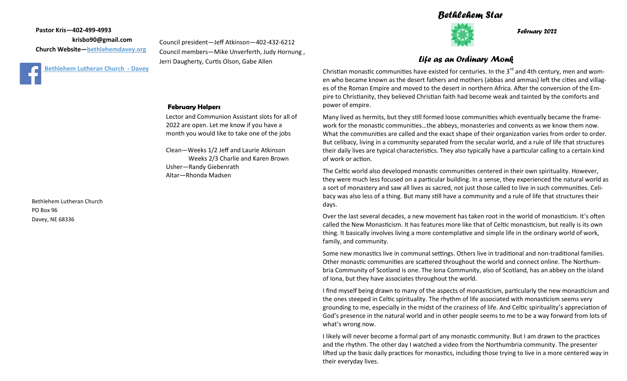## *Bethlehem Star*



*February 2022*

*Life as an Ordinary Monk*

Christian monastic communities have existed for centuries. In the 3<sup>rd</sup> and 4th century, men and women who became known as the desert fathers and mothers (abbas and ammas) left the cities and villages of the Roman Empire and moved to the desert in northern Africa. After the conversion of the Empire to Christianity, they believed Christian faith had become weak and tainted by the comforts and power of empire.

Many lived as hermits, but they still formed loose communities which eventually became the framework for the monastic communities…the abbeys, monasteries and convents as we know them now. What the communities are called and the exact shape of their organization varies from order to order. But celibacy, living in a community separated from the secular world, and a rule of life that structures their daily lives are typical characteristics. They also typically have a particular calling to a certain kind of work or action.

The Celtic world also developed monastic communities centered in their own spirituality. However, they were much less focused on a particular building. In a sense, they experienced the natural world as a sort of monastery and saw all lives as sacred, not just those called to live in such communities. Celibacy was also less of a thing. But many still have a community and a rule of life that structures their days.

Over the last several decades, a new movement has taken root in the world of monasticism. It's often called the New Monasticism. It has features more like that of Celtic monasticism, but really is its own thing. It basically involves living a more contemplative and simple life in the ordinary world of work, family, and community.

Some new monastics live in communal settings. Others live in traditional and non-traditional families. Other monastic communities are scattered throughout the world and connect online. The Northumbria Community of Scotland is one. The Iona Community, also of Scotland, has an abbey on the island of Iona, but they have associates throughout the world.

I find myself being drawn to many of the aspects of monasticism, particularly the new monasticism and the ones steeped in Celtic spirituality. The rhythm of life associated with monasticism seems very grounding to me, especially in the midst of the craziness of life. And Celtic spirituality's appreciation of God's presence in the natural world and in other people seems to me to be a way forward from lots of what's wrong now.

I likely will never become a formal part of any monastic community. But I am drawn to the practices and the rhythm. The other day I watched a video from the Northumbria community. The presenter lifted up the basic daily practices for monastics, including those trying to live in a more centered way in their everyday lives.

#### **February Helpers**

Lector and Communion Assistant slots for all of 2022 are open. Let me know if you have a month you would like to take one of the jobs

Clean—Weeks 1/2 Jeff and Laurie Atkinson Weeks 2/3 Charlie and Karen Brown Usher—Randy Giebenrath Altar—Rhonda Madsen

Bethlehem Lutheran Church PO Box 96 Davey, NE 68336

Council president—Jeff Atkinson—402-432-6212 Council members—Mike Unverferth, Judy Hornung , Jerri Daugherty, Curtis Olson, Gabe Allen

**Pastor Kris—402-499-4993**

 **krisbo90@gmail.com**

**[B](https://www.facebook.com/bethlehemdavey/)ethlehem Lutheran Church - Davey** 

**Church Website—<bethlehemdavey.org>**